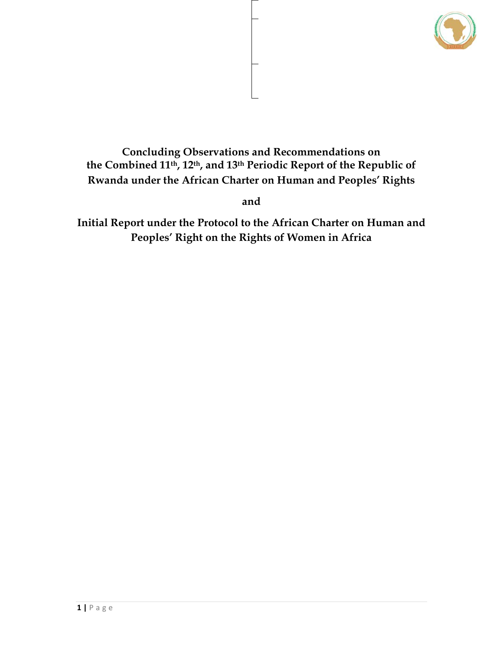

# **Concluding Observations and Recommendations on the Combined 11th, 12th, and 13th Periodic Report of the Republic of Rwanda under the African Charter on Human and Peoples' Rights**

**and** 

**Initial Report under the Protocol to the African Charter on Human and Peoples' Right on the Rights of Women in Africa**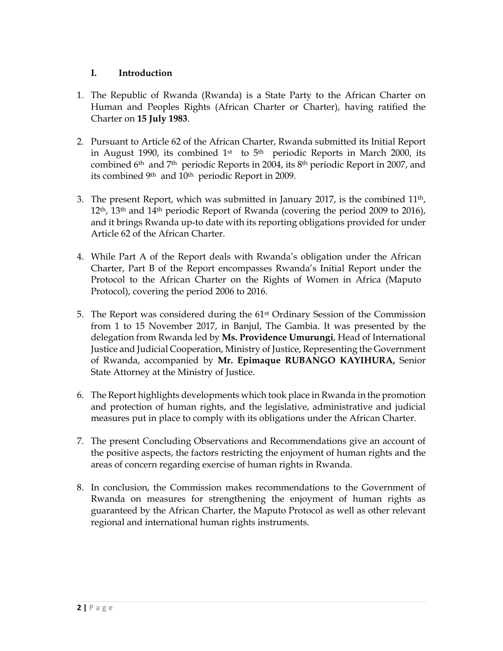## **I. Introduction**

- 1. The Republic of Rwanda (Rwanda) is a State Party to the African Charter on Human and Peoples Rights (African Charter or Charter), having ratified the Charter on **15 July 1983**.
- 2. Pursuant to Article 62 of the African Charter, Rwanda submitted its Initial Report in August 1990, its combined  $1<sup>st</sup>$  to  $5<sup>th</sup>$  periodic Reports in March 2000, its combined 6th and 7th periodic Reports in 2004, its 8th periodic Report in 2007, and its combined 9<sup>th</sup> and 10<sup>th</sup> periodic Report in 2009.
- 3. The present Report, which was submitted in January 2017, is the combined 11th,  $12<sup>th</sup>$ ,  $13<sup>th</sup>$  and  $14<sup>th</sup>$  periodic Report of Rwanda (covering the period 2009 to 2016), and it brings Rwanda up-to date with its reporting obligations provided for under Article 62 of the African Charter.
- 4. While Part A of the Report deals with Rwanda's obligation under the African Charter, Part B of the Report encompasses Rwanda's Initial Report under the Protocol to the African Charter on the Rights of Women in Africa (Maputo Protocol), covering the period 2006 to 2016.
- 5. The Report was considered during the 61st Ordinary Session of the Commission from 1 to 15 November 2017, in Banjul, The Gambia. It was presented by the delegation from Rwanda led by **Ms. Providence Umurungi**, Head of International Justice and Judicial Cooperation, Ministry of Justice, Representing the Government of Rwanda, accompanied by **Mr. Epimaque RUBANGO KAYIHURA,** Senior State Attorney at the Ministry of Justice.
- 6. The Report highlights developments which took place in Rwanda in the promotion and protection of human rights, and the legislative, administrative and judicial measures put in place to comply with its obligations under the African Charter.
- 7. The present Concluding Observations and Recommendations give an account of the positive aspects, the factors restricting the enjoyment of human rights and the areas of concern regarding exercise of human rights in Rwanda.
- 8. In conclusion, the Commission makes recommendations to the Government of Rwanda on measures for strengthening the enjoyment of human rights as guaranteed by the African Charter, the Maputo Protocol as well as other relevant regional and international human rights instruments.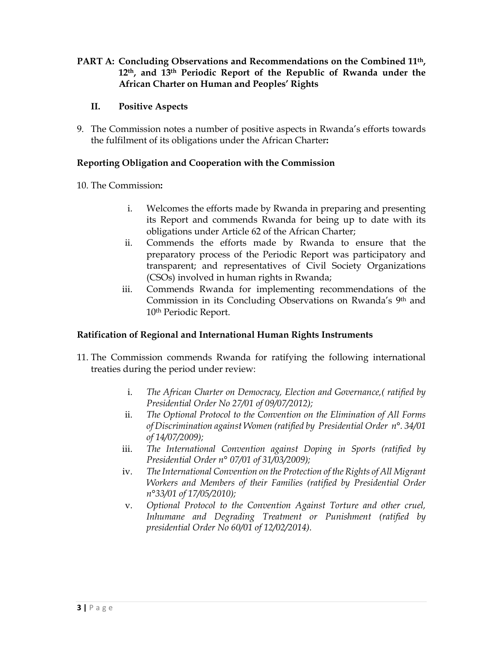**PART A: Concluding Observations and Recommendations on the Combined 11th, 12th, and 13th Periodic Report of the Republic of Rwanda under the African Charter on Human and Peoples' Rights** 

### **II. Positive Aspects**

9. The Commission notes a number of positive aspects in Rwanda's efforts towards the fulfilment of its obligations under the African Charter**:** 

#### **Reporting Obligation and Cooperation with the Commission**

10. The Commission**:** 

- i. Welcomes the efforts made by Rwanda in preparing and presenting its Report and commends Rwanda for being up to date with its obligations under Article 62 of the African Charter;
- ii. Commends the efforts made by Rwanda to ensure that the preparatory process of the Periodic Report was participatory and transparent; and representatives of Civil Society Organizations (CSOs) involved in human rights in Rwanda;
- iii. Commends Rwanda for implementing recommendations of the Commission in its Concluding Observations on Rwanda's 9th and 10th Periodic Report.

### **Ratification of Regional and International Human Rights Instruments**

- 11. The Commission commends Rwanda for ratifying the following international treaties during the period under review:
	- i. *The African Charter on Democracy, Election and Governance,( ratified by Presidential Order No 27/01 of 09/07/2012);*
	- ii. *The Optional Protocol to the Convention on the Elimination of All Forms of Discrimination against Women (ratified by Presidential Order n°. 34/01 of 14/07/2009);*
	- iii. *The International Convention against Doping in Sports (ratified by Presidential Order n° 07/01 of 31/03/2009);*
	- iv. *The International Convention on the Protection of the Rights of All Migrant Workers and Members of their Families (ratified by Presidential Order n°33/01 of 17/05/2010);*
	- v. *Optional Protocol to the Convention Against Torture and other cruel, Inhumane and Degrading Treatment or Punishment (ratified by presidential Order No 60/01 of 12/02/2014).*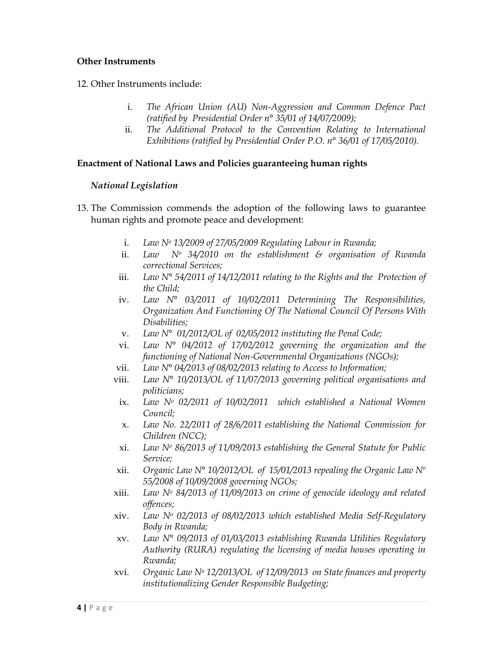#### **Other Instruments**

- 12. Other Instruments include:
	- i. *The African Union (AU) Non-Aggression and Common Defence Pact (ratified by Presidential Order n° 35/01 of 14/07/2009);*
	- ii. *The Additional Protocol to the Convention Relating to International Exhibitions (ratified by Presidential Order P.O. n° 36/01 of 17/05/2010).*

#### **Enactment of National Laws and Policies guaranteeing human rights**

#### *National Legislation*

- 13. The Commission commends the adoption of the following laws to guarantee human rights and promote peace and development:
	- i. *Law No 13/2009 of 27/05/2009 Regulating Labour in Rwanda;*
	- ii. *Law No 34/2010 on the establishment & organisation of Rwanda correctional Services;*
	- iii. *Law N° 54/2011 of 14/12/2011 relating to the Rights and the Protection of the Child;*
	- iv. *Law N° 03/2011 of 10/02/2011 Determining The Responsibilities, Organization And Functioning Of The National Council Of Persons With Disabilities;*
	- v. *Law N° 01/2012/OL of 02/05/2012 instituting the Penal Code;*
	- vi. *Law N° 04/2012 of 17/02/2012 governing the organization and the functioning of National Non-Governmental Organizations (NGOs);*
	- vii. *Law N° 04/2013 of 08/02/2013 relating to Access to Information;*
	- viii. *Law N° 10/2013/OL of 11/07/2013 governing political organisations and politicians;*
	- ix. *Law No 02/2011 of 10/02/2011 which established a National Women Council;*
	- x. *Law No. 22/2011 of 28/6/2011 establishing the National Commission for Children (NCC);*
	- xi. *Law No 86/2013 of 11/09/2013 establishing the General Statute for Public Service;*
	- xii. *Organic Law N° 10/2012/OL of 15/01/2013 repealing the Organic Law Nº 55/2008 of 10/09/2008 governing NGOs;*
	- xiii. *Law No 84/2013 of 11/09/2013 on crime of genocide ideology and related offences;*
	- xiv. *Law No 02/2013 of 08/02/2013 which established Media Self-Regulatory Body in Rwanda;*
	- xv. *Law N° 09/2013 of 01/03/2013 establishing Rwanda Utilities Regulatory Authority (RURA) regulating the licensing of media houses operating in Rwanda;*
	- xvi. *Organic Law No 12/2013/OL of 12/09/2013 on State finances and property institutionalizing Gender Responsible Budgeting;*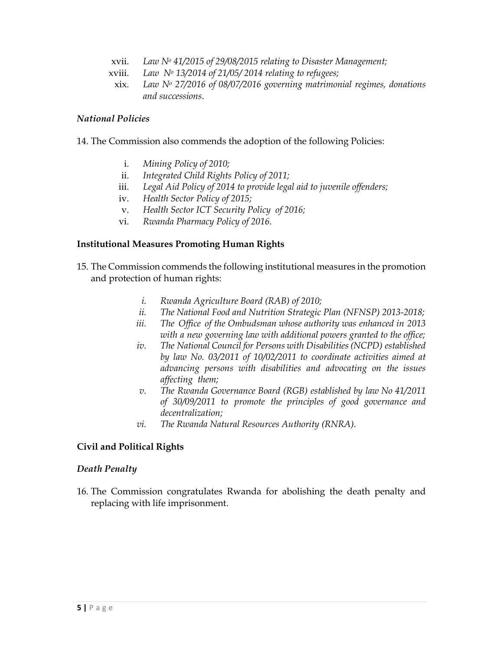- xvii. *Law No 41/2015 of 29/08/2015 relating to Disaster Management;*
- xviii. *Law No 13/2014 of 21/05/ 2014 relating to refugees;*
- xix. *Law No 27/2016 of 08/07/2016 governing matrimonial regimes, donations and successions*.

#### *National Policies*

- 14. The Commission also commends the adoption of the following Policies:
	- i. *Mining Policy of 2010;*
	- ii. *Integrated Child Rights Policy of 2011;*
	- iii. *Legal Aid Policy of 2014 to provide legal aid to juvenile offenders;*
	- iv. *Health Sector Policy of 2015;*
	- v. *Health Sector ICT Security Policy of 2016;*
	- vi. *Rwanda Pharmacy Policy of 2016.*

#### **Institutional Measures Promoting Human Rights**

- 15. The Commission commends the following institutional measures in the promotion and protection of human rights:
	- *i. Rwanda Agriculture Board (RAB) of 2010;*
	- *ii. The National Food and Nutrition Strategic Plan (NFNSP) 2013-2018;*
	- *iii. The Office of the Ombudsman whose authority was enhanced in 2013 with a new governing law with additional powers granted to the office;*
	- *iv. The National Council for Persons with Disabilities (NCPD) established by law No. 03/2011 of 10/02/2011 to coordinate activities aimed at advancing persons with disabilities and advocating on the issues affecting them;*
	- *v. The Rwanda Governance Board (RGB) established by law No 41/2011 of 30/09/2011 to promote the principles of good governance and decentralization;*
	- *vi. The Rwanda Natural Resources Authority (RNRA).*

#### **Civil and Political Rights**

#### *Death Penalty*

16. The Commission congratulates Rwanda for abolishing the death penalty and replacing with life imprisonment.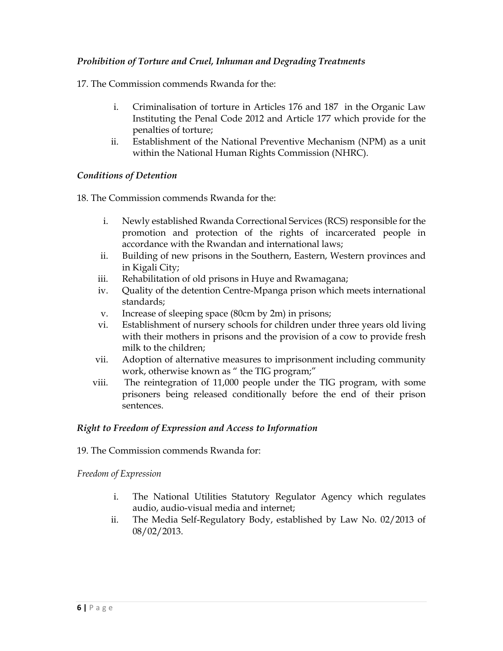### *Prohibition of Torture and Cruel, Inhuman and Degrading Treatments*

17. The Commission commends Rwanda for the:

- i. Criminalisation of torture in Articles 176 and 187 in the Organic Law Instituting the Penal Code 2012 and Article 177 which provide for the penalties of torture;
- ii. Establishment of the National Preventive Mechanism (NPM) as a unit within the National Human Rights Commission (NHRC).

### *Conditions of Detention*

18. The Commission commends Rwanda for the:

- i. Newly established Rwanda Correctional Services (RCS) responsible for the promotion and protection of the rights of incarcerated people in accordance with the Rwandan and international laws;
- ii. Building of new prisons in the Southern, Eastern, Western provinces and in Kigali City;
- iii. Rehabilitation of old prisons in Huye and Rwamagana;
- iv. Quality of the detention Centre-Mpanga prison which meets international standards;
- v. Increase of sleeping space (80cm by 2m) in prisons;
- vi. Establishment of nursery schools for children under three years old living with their mothers in prisons and the provision of a cow to provide fresh milk to the children;
- vii. Adoption of alternative measures to imprisonment including community work, otherwise known as " the TIG program;"
- viii. The reintegration of 11,000 people under the TIG program, with some prisoners being released conditionally before the end of their prison sentences.

## *Right to Freedom of Expression and Access to Information*

19. The Commission commends Rwanda for:

*Freedom of Expression* 

- i. The National Utilities Statutory Regulator Agency which regulates audio, audio-visual media and internet;
- ii. The Media Self-Regulatory Body, established by Law No. 02/2013 of 08/02/2013.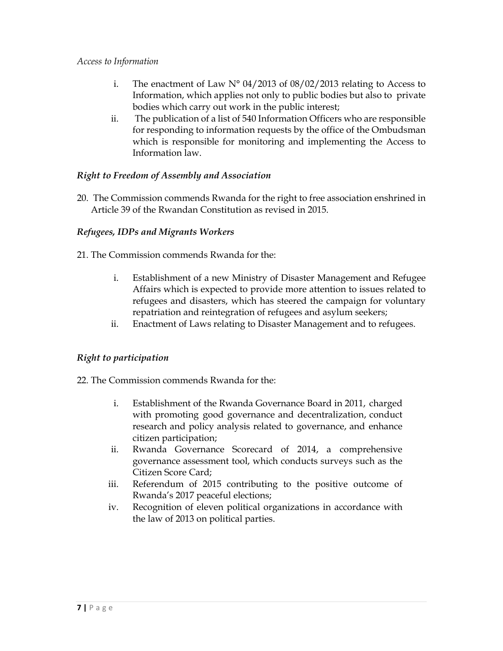#### *Access to Information*

- i. The enactment of Law  $N^{\circ}$  04/2013 of 08/02/2013 relating to Access to Information, which applies not only to public bodies but also to private bodies which carry out work in the public interest;
- ii. The publication of a list of 540 Information Officers who are responsible for responding to information requests by the office of the Ombudsman which is responsible for monitoring and implementing the Access to Information law.

## *Right to Freedom of Assembly and Association*

20. The Commission commends Rwanda for the right to free association enshrined in Article 39 of the Rwandan Constitution as revised in 2015.

## *Refugees, IDPs and Migrants Workers*

- 21. The Commission commends Rwanda for the:
	- i. Establishment of a new Ministry of Disaster Management and Refugee Affairs which is expected to provide more attention to issues related to refugees and disasters, which has steered the campaign for voluntary repatriation and reintegration of refugees and asylum seekers;
	- ii. Enactment of Laws relating to Disaster Management and to refugees.

### *Right to participation*

- 22. The Commission commends Rwanda for the:
	- i. Establishment of the Rwanda Governance Board in 2011, charged with promoting good governance and decentralization, conduct research and policy analysis related to governance, and enhance citizen participation;
	- ii. Rwanda Governance Scorecard of 2014, a comprehensive governance assessment tool, which conducts surveys such as the Citizen Score Card;
	- iii. Referendum of 2015 contributing to the positive outcome of Rwanda's 2017 peaceful elections;
	- iv. Recognition of eleven political organizations in accordance with the law of 2013 on political parties.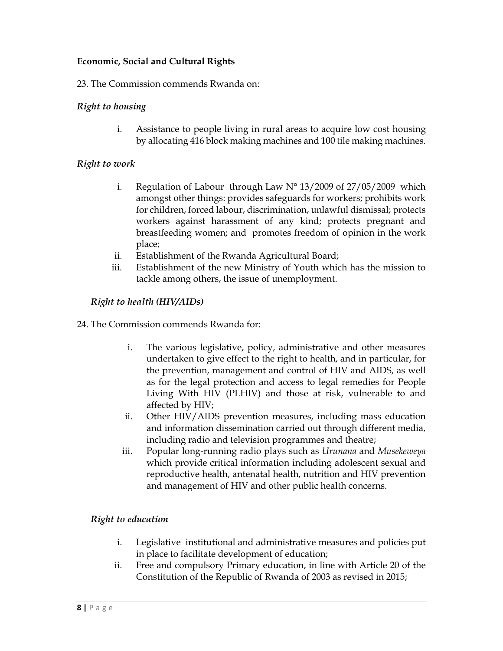## **Economic, Social and Cultural Rights**

23. The Commission commends Rwanda on:

#### *Right to housing*

i. Assistance to people living in rural areas to acquire low cost housing by allocating 416 block making machines and 100 tile making machines.

#### *Right to work*

- i. Regulation of Labour through Law N° 13/2009 of 27/05/2009 which amongst other things: provides safeguards for workers; prohibits work for children, forced labour, discrimination, unlawful dismissal; protects workers against harassment of any kind; protects pregnant and breastfeeding women; and promotes freedom of opinion in the work place;
- ii. Establishment of the Rwanda Agricultural Board;
- iii. Establishment of the new Ministry of Youth which has the mission to tackle among others, the issue of unemployment.

#### *Right to health (HIV/AIDs)*

- 24. The Commission commends Rwanda for:
	- i. The various legislative, policy, administrative and other measures undertaken to give effect to the right to health, and in particular, for the prevention, management and control of HIV and AIDS, as well as for the legal protection and access to legal remedies for People Living With HIV (PLHIV) and those at risk, vulnerable to and affected by HIV;
	- ii. Other HIV/AIDS prevention measures, including mass education and information dissemination carried out through different media, including radio and television programmes and theatre;
	- iii. Popular long-running radio plays such as *Urunana* and *Musekeweya* which provide critical information including adolescent sexual and reproductive health, antenatal health, nutrition and HIV prevention and management of HIV and other public health concerns.

### *Right to education*

- i. Legislative institutional and administrative measures and policies put in place to facilitate development of education;
- ii. Free and compulsory Primary education, in line with Article 20 of the Constitution of the Republic of Rwanda of 2003 as revised in 2015;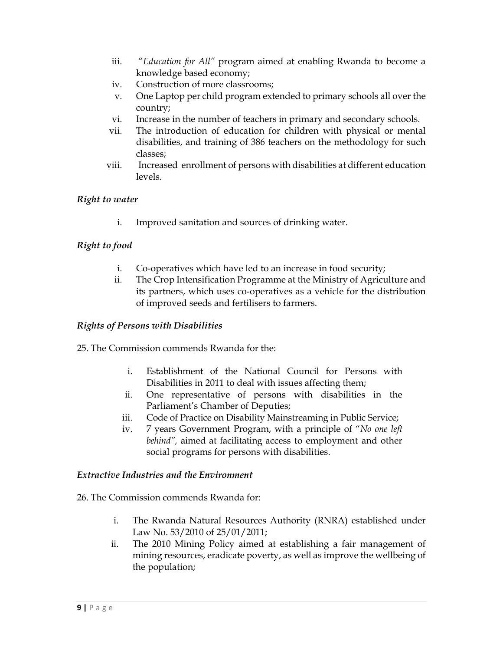- iii. "*Education for All"* program aimed at enabling Rwanda to become a knowledge based economy;
- iv. Construction of more classrooms;
- v. One Laptop per child program extended to primary schools all over the country;
- vi. Increase in the number of teachers in primary and secondary schools.
- vii. The introduction of education for children with physical or mental disabilities, and training of 386 teachers on the methodology for such classes;
- viii. Increased enrollment of persons with disabilities at different education levels.

## *Right to water*

i. Improved sanitation and sources of drinking water.

## *Right to food*

- i. Co-operatives which have led to an increase in food security;
- ii. The Crop Intensification Programme at the Ministry of Agriculture and its partners, which uses co-operatives as a vehicle for the distribution of improved seeds and fertilisers to farmers.

## *Rights of Persons with Disabilities*

- 25. The Commission commends Rwanda for the:
	- i. Establishment of the National Council for Persons with Disabilities in 2011 to deal with issues affecting them;
	- ii. One representative of persons with disabilities in the Parliament's Chamber of Deputies;
	- iii. Code of Practice on Disability Mainstreaming in Public Service;
	- iv. 7 years Government Program, with a principle of "*No one left behind",* aimed at facilitating access to employment and other social programs for persons with disabilities.

### *Extractive Industries and the Environment*

- 26. The Commission commends Rwanda for:
	- i. The Rwanda Natural Resources Authority (RNRA) established under Law No. 53/2010 of 25/01/2011;
	- ii. The 2010 Mining Policy aimed at establishing a fair management of mining resources, eradicate poverty, as well as improve the wellbeing of the population;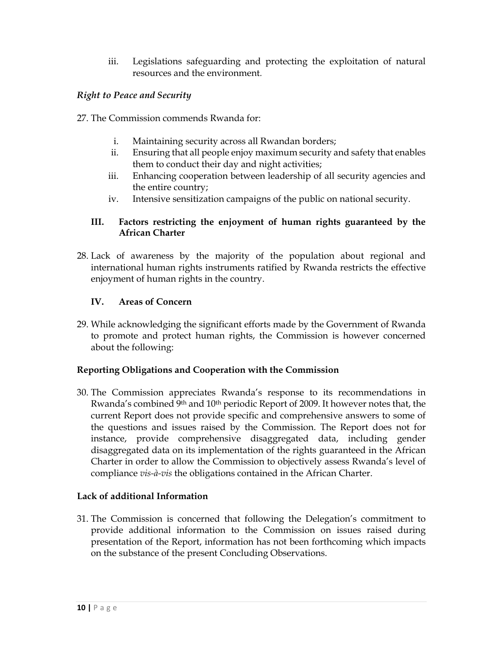iii. Legislations safeguarding and protecting the exploitation of natural resources and the environment*.* 

## *Right to Peace and Security*

- 27. The Commission commends Rwanda for:
	- i. Maintaining security across all Rwandan borders;
	- ii. Ensuring that all people enjoy maximum security and safety that enables them to conduct their day and night activities;
	- iii. Enhancing cooperation between leadership of all security agencies and the entire country;
	- iv. Intensive sensitization campaigns of the public on national security.

### **III. Factors restricting the enjoyment of human rights guaranteed by the African Charter**

28. Lack of awareness by the majority of the population about regional and international human rights instruments ratified by Rwanda restricts the effective enjoyment of human rights in the country.

### **IV. Areas of Concern**

29. While acknowledging the significant efforts made by the Government of Rwanda to promote and protect human rights, the Commission is however concerned about the following:

### **Reporting Obligations and Cooperation with the Commission**

30. The Commission appreciates Rwanda's response to its recommendations in Rwanda's combined 9<sup>th</sup> and 10<sup>th</sup> periodic Report of 2009. It however notes that, the current Report does not provide specific and comprehensive answers to some of the questions and issues raised by the Commission. The Report does not for instance, provide comprehensive disaggregated data, including gender disaggregated data on its implementation of the rights guaranteed in the African Charter in order to allow the Commission to objectively assess Rwanda's level of compliance *vis-à-vis* the obligations contained in the African Charter.

### **Lack of additional Information**

31. The Commission is concerned that following the Delegation's commitment to provide additional information to the Commission on issues raised during presentation of the Report, information has not been forthcoming which impacts on the substance of the present Concluding Observations.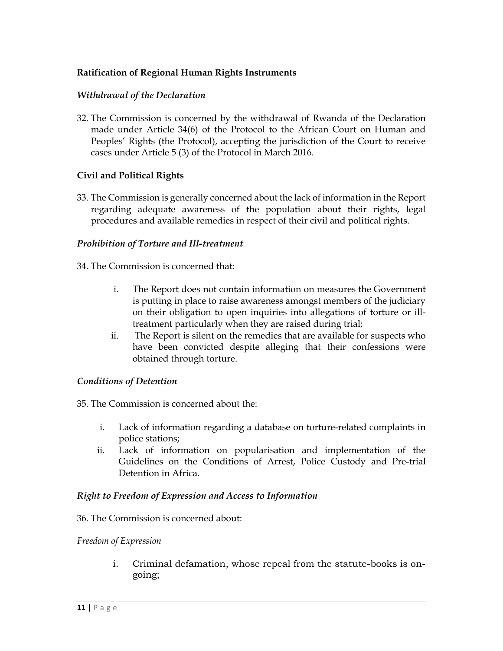### **Ratification of Regional Human Rights Instruments**

#### *Withdrawal of the Declaration*

32. The Commission is concerned by the withdrawal of Rwanda of the Declaration made under Article 34(6) of the Protocol to the African Court on Human and Peoples' Rights (the Protocol), accepting the jurisdiction of the Court to receive cases under Article 5 (3) of the Protocol in March 2016.

#### **Civil and Political Rights**

33. The Commission is generally concerned about the lack of information in the Report regarding adequate awareness of the population about their rights, legal procedures and available remedies in respect of their civil and political rights.

#### *Prohibition of Torture and Ill-treatment*

- 34. The Commission is concerned that:
	- i. The Report does not contain information on measures the Government is putting in place to raise awareness amongst members of the judiciary on their obligation to open inquiries into allegations of torture or illtreatment particularly when they are raised during trial;
	- ii. The Report is silent on the remedies that are available for suspects who have been convicted despite alleging that their confessions were obtained through torture.

#### *Conditions of Detention*

35. The Commission is concerned about the:

- i. Lack of information regarding a database on torture-related complaints in police stations;
- ii. Lack of information on popularisation and implementation of the Guidelines on the Conditions of Arrest, Police Custody and Pre-trial Detention in Africa.

#### *Right to Freedom of Expression and Access to Information*

#### 36. The Commission is concerned about:

#### *Freedom of Expression*

i. Criminal defamation, whose repeal from the statute-books is ongoing;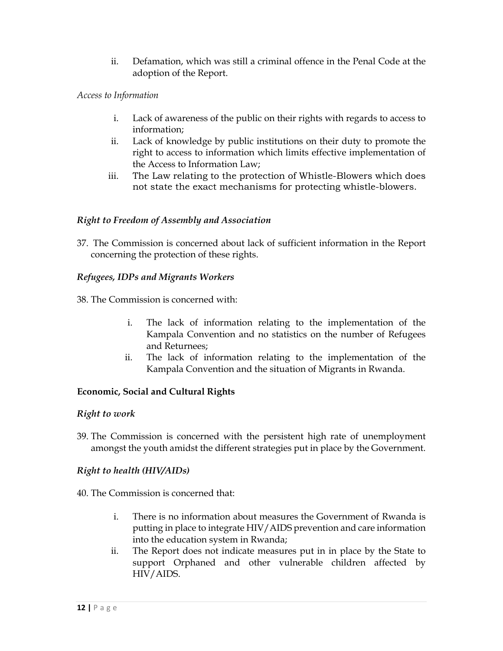ii. Defamation, which was still a criminal offence in the Penal Code at the adoption of the Report.

## *Access to Information*

- i. Lack of awareness of the public on their rights with regards to access to information;
- ii. Lack of knowledge by public institutions on their duty to promote the right to access to information which limits effective implementation of the Access to Information Law;
- iii. The Law relating to the protection of Whistle-Blowers which does not state the exact mechanisms for protecting whistle-blowers.

## *Right to Freedom of Assembly and Association*

37. The Commission is concerned about lack of sufficient information in the Report concerning the protection of these rights.

## *Refugees, IDPs and Migrants Workers*

38. The Commission is concerned with:

- i. The lack of information relating to the implementation of the Kampala Convention and no statistics on the number of Refugees and Returnees;
- ii. The lack of information relating to the implementation of the Kampala Convention and the situation of Migrants in Rwanda.

## **Economic, Social and Cultural Rights**

### *Right to work*

39. The Commission is concerned with the persistent high rate of unemployment amongst the youth amidst the different strategies put in place by the Government.

## *Right to health (HIV/AIDs)*

- 40. The Commission is concerned that:
	- i. There is no information about measures the Government of Rwanda is putting in place to integrate HIV/AIDS prevention and care information into the education system in Rwanda;
	- ii. The Report does not indicate measures put in in place by the State to support Orphaned and other vulnerable children affected by HIV/AIDS.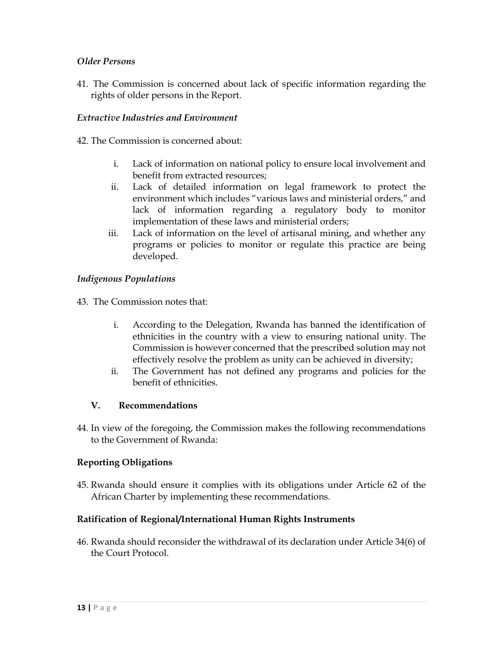## *Older Persons*

41. The Commission is concerned about lack of specific information regarding the rights of older persons in the Report.

## *Extractive Industries and Environment*

42. The Commission is concerned about:

- i. Lack of information on national policy to ensure local involvement and benefit from extracted resources;
- ii. Lack of detailed information on legal framework to protect the environment which includes "various laws and ministerial orders," and lack of information regarding a regulatory body to monitor implementation of these laws and ministerial orders;
- iii. Lack of information on the level of artisanal mining, and whether any programs or policies to monitor or regulate this practice are being developed.

## *Indigenous Populations*

43. The Commission notes that:

- i. According to the Delegation, Rwanda has banned the identification of ethnicities in the country with a view to ensuring national unity. The Commission is however concerned that the prescribed solution may not effectively resolve the problem as unity can be achieved in diversity;
- ii. The Government has not defined any programs and policies for the benefit of ethnicities.

### **V. Recommendations**

44. In view of the foregoing, the Commission makes the following recommendations to the Government of Rwanda:

### **Reporting Obligations**

45. Rwanda should ensure it complies with its obligations under Article 62 of the African Charter by implementing these recommendations.

### **Ratification of Regional/International Human Rights Instruments**

46. Rwanda should reconsider the withdrawal of its declaration under Article 34(6) of the Court Protocol.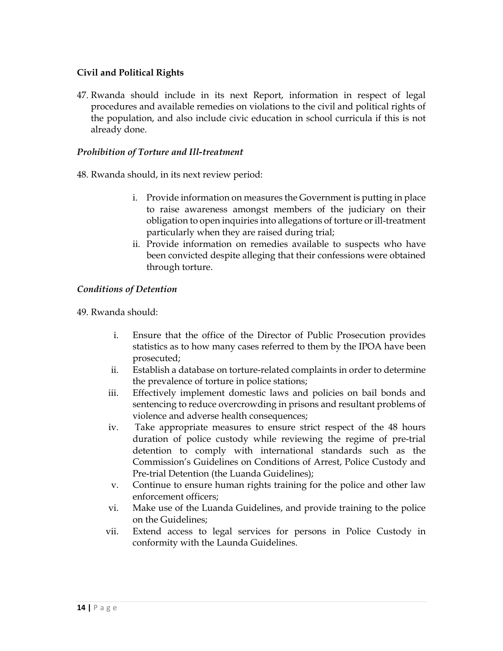## **Civil and Political Rights**

47. Rwanda should include in its next Report, information in respect of legal procedures and available remedies on violations to the civil and political rights of the population, and also include civic education in school curricula if this is not already done.

#### *Prohibition of Torture and Ill-treatment*

48. Rwanda should, in its next review period:

- i. Provide information on measures the Government is putting in place to raise awareness amongst members of the judiciary on their obligation to open inquiries into allegations of torture or ill-treatment particularly when they are raised during trial;
- ii. Provide information on remedies available to suspects who have been convicted despite alleging that their confessions were obtained through torture.

#### *Conditions of Detention*

49. Rwanda should:

- i. Ensure that the office of the Director of Public Prosecution provides statistics as to how many cases referred to them by the IPOA have been prosecuted;
- ii. Establish a database on torture-related complaints in order to determine the prevalence of torture in police stations;
- iii. Effectively implement domestic laws and policies on bail bonds and sentencing to reduce overcrowding in prisons and resultant problems of violence and adverse health consequences;
- iv. Take appropriate measures to ensure strict respect of the 48 hours duration of police custody while reviewing the regime of pre-trial detention to comply with international standards such as the Commission's Guidelines on Conditions of Arrest, Police Custody and Pre-trial Detention (the Luanda Guidelines);
- v. Continue to ensure human rights training for the police and other law enforcement officers;
- vi. Make use of the Luanda Guidelines, and provide training to the police on the Guidelines;
- vii. Extend access to legal services for persons in Police Custody in conformity with the Launda Guidelines.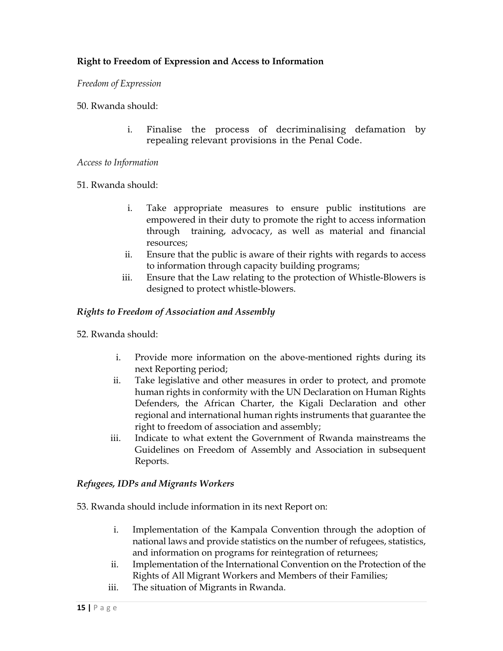## **Right to Freedom of Expression and Access to Information**

#### *Freedom of Expression*

#### 50. Rwanda should:

i. Finalise the process of decriminalising defamation by repealing relevant provisions in the Penal Code.

#### *Access to Information*

#### 51. Rwanda should:

- i. Take appropriate measures to ensure public institutions are empowered in their duty to promote the right to access information through training, advocacy, as well as material and financial resources;
- ii. Ensure that the public is aware of their rights with regards to access to information through capacity building programs;
- iii. Ensure that the Law relating to the protection of Whistle-Blowers is designed to protect whistle-blowers.

#### *Rights to Freedom of Association and Assembly*

- 52. Rwanda should:
	- i. Provide more information on the above-mentioned rights during its next Reporting period;
	- ii. Take legislative and other measures in order to protect, and promote human rights in conformity with the UN Declaration on Human Rights Defenders, the African Charter, the Kigali Declaration and other regional and international human rights instruments that guarantee the right to freedom of association and assembly;
	- iii. Indicate to what extent the Government of Rwanda mainstreams the Guidelines on Freedom of Assembly and Association in subsequent Reports.

### *Refugees, IDPs and Migrants Workers*

53. Rwanda should include information in its next Report on:

- i. Implementation of the Kampala Convention through the adoption of national laws and provide statistics on the number of refugees, statistics, and information on programs for reintegration of returnees;
- ii. Implementation of the International Convention on the Protection of the Rights of All Migrant Workers and Members of their Families;
- iii. The situation of Migrants in Rwanda.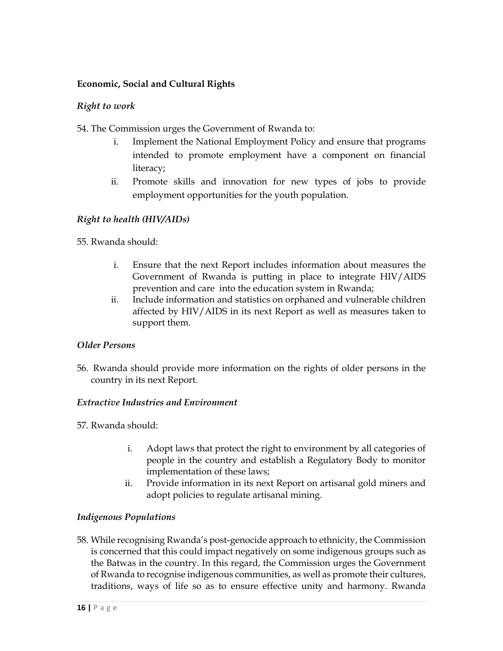## **Economic, Social and Cultural Rights**

## *Right to work*

54. The Commission urges the Government of Rwanda to:

- i. Implement the National Employment Policy and ensure that programs intended to promote employment have a component on financial literacy;
- ii. Promote skills and innovation for new types of jobs to provide employment opportunities for the youth population.

## *Right to health (HIV/AIDs)*

55. Rwanda should:

- i. Ensure that the next Report includes information about measures the Government of Rwanda is putting in place to integrate HIV/AIDS prevention and care into the education system in Rwanda;
- ii. Include information and statistics on orphaned and vulnerable children affected by HIV/AIDS in its next Report as well as measures taken to support them.

### *Older Persons*

56. Rwanda should provide more information on the rights of older persons in the country in its next Report.

### *Extractive Industries and Environment*

57. Rwanda should:

- i. Adopt laws that protect the right to environment by all categories of people in the country and establish a Regulatory Body to monitor implementation of these laws;
- ii. Provide information in its next Report on artisanal gold miners and adopt policies to regulate artisanal mining.

### *Indigenous Populations*

58. While recognising Rwanda's post-genocide approach to ethnicity, the Commission is concerned that this could impact negatively on some indigenous groups such as the Batwas in the country. In this regard, the Commission urges the Government of Rwanda to recognise indigenous communities, as well as promote their cultures, traditions, ways of life so as to ensure effective unity and harmony. Rwanda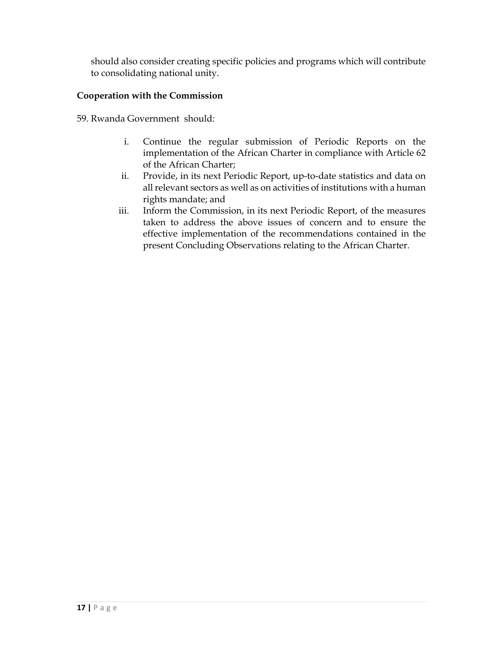should also consider creating specific policies and programs which will contribute to consolidating national unity.

## **Cooperation with the Commission**

59. Rwanda Government should:

- i. Continue the regular submission of Periodic Reports on the implementation of the African Charter in compliance with Article 62 of the African Charter;
- ii. Provide, in its next Periodic Report, up-to-date statistics and data on all relevant sectors as well as on activities of institutions with a human rights mandate; and
- iii. Inform the Commission, in its next Periodic Report, of the measures taken to address the above issues of concern and to ensure the effective implementation of the recommendations contained in the present Concluding Observations relating to the African Charter.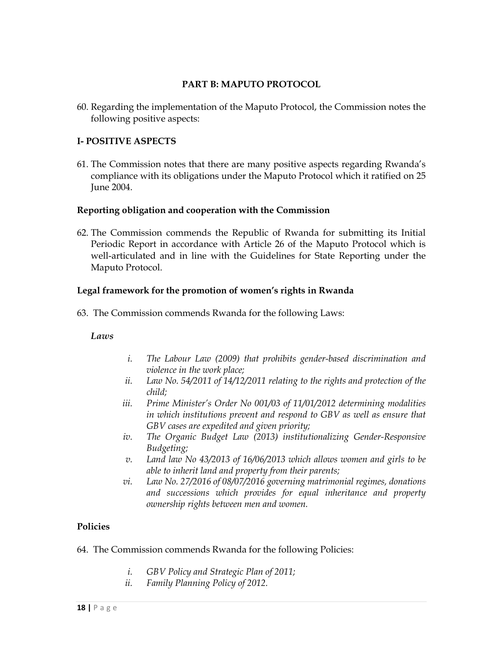#### **PART B: MAPUTO PROTOCOL**

60. Regarding the implementation of the Maputo Protocol, the Commission notes the following positive aspects:

### **I- POSITIVE ASPECTS**

61. The Commission notes that there are many positive aspects regarding Rwanda's compliance with its obligations under the Maputo Protocol which it ratified on 25 June 2004.

### **Reporting obligation and cooperation with the Commission**

62. The Commission commends the Republic of Rwanda for submitting its Initial Periodic Report in accordance with Article 26 of the Maputo Protocol which is well-articulated and in line with the Guidelines for State Reporting under the Maputo Protocol.

### **Legal framework for the promotion of women's rights in Rwanda**

63. The Commission commends Rwanda for the following Laws:

### *Laws*

- *i. The Labour Law (2009) that prohibits gender-based discrimination and violence in the work place;*
- *ii. Law No. 54/2011 of 14/12/2011 relating to the rights and protection of the child;*
- *iii. Prime Minister's Order No 001/03 of 11/01/2012 determining modalities in which institutions prevent and respond to GBV as well as ensure that GBV cases are expedited and given priority;*
- *iv. The Organic Budget Law (2013) institutionalizing Gender-Responsive Budgeting;*
- *v. Land law No 43/2013 of 16/06/2013 which allows women and girls to be able to inherit land and property from their parents;*
- *vi. Law No. 27/2016 of 08/07/2016 governing matrimonial regimes, donations and successions which provides for equal inheritance and property ownership rights between men and women.*

### **Policies**

- 64. The Commission commends Rwanda for the following Policies:
	- *i. GBV Policy and Strategic Plan of 2011;*
	- *ii. Family Planning Policy of 2012.*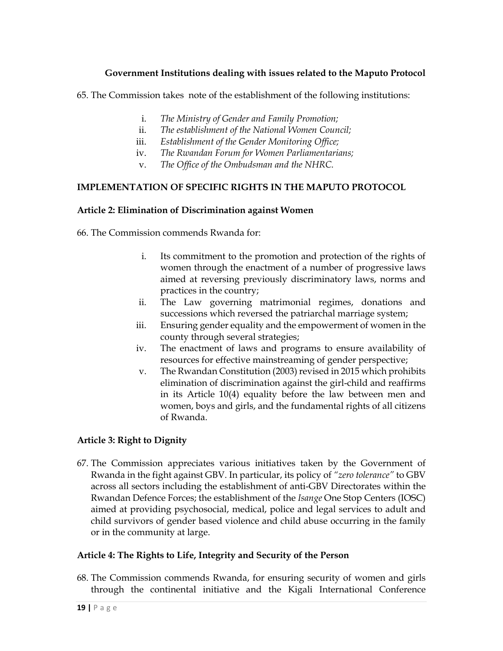## **Government Institutions dealing with issues related to the Maputo Protocol**

65. The Commission takes note of the establishment of the following institutions:

- i. *The Ministry of Gender and Family Promotion;*
- ii. *The establishment of the National Women Council;*
- iii. *Establishment of the Gender Monitoring Office;*
- iv. *The Rwandan Forum for Women Parliamentarians;*
- v. *The Office of the Ombudsman and the NHRC.*

#### **IMPLEMENTATION OF SPECIFIC RIGHTS IN THE MAPUTO PROTOCOL**

#### **Article 2: Elimination of Discrimination against Women**

66. The Commission commends Rwanda for:

- i. Its commitment to the promotion and protection of the rights of women through the enactment of a number of progressive laws aimed at reversing previously discriminatory laws, norms and practices in the country;
- ii. The Law governing matrimonial regimes, donations and successions which reversed the patriarchal marriage system;
- iii. Ensuring gender equality and the empowerment of women in the county through several strategies;
- iv. The enactment of laws and programs to ensure availability of resources for effective mainstreaming of gender perspective;
- v. The Rwandan Constitution (2003) revised in 2015 which prohibits elimination of discrimination against the girl-child and reaffirms in its Article 10(4) equality before the law between men and women, boys and girls, and the fundamental rights of all citizens of Rwanda.

### **Article 3: Right to Dignity**

67. The Commission appreciates various initiatives taken by the Government of Rwanda in the fight against GBV. In particular, its policy of *"zero tolerance"* to GBV across all sectors including the establishment of anti-GBV Directorates within the Rwandan Defence Forces; the establishment of the *Isange* One Stop Centers (IOSC) aimed at providing psychosocial, medical, police and legal services to adult and child survivors of gender based violence and child abuse occurring in the family or in the community at large.

#### **Article 4: The Rights to Life, Integrity and Security of the Person**

68. The Commission commends Rwanda, for ensuring security of women and girls through the continental initiative and the Kigali International Conference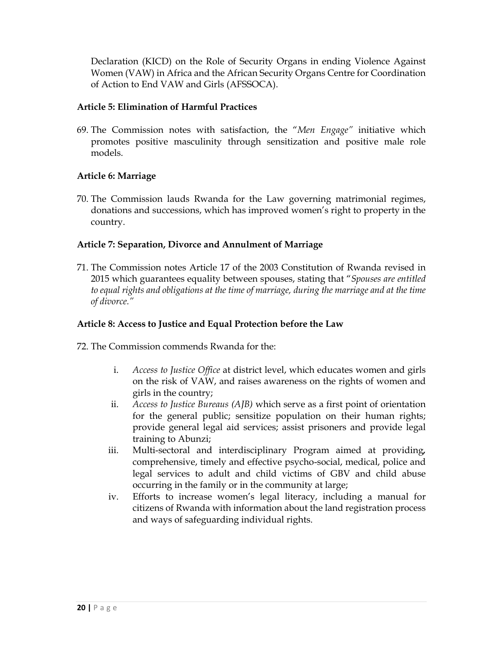Declaration (KICD) on the Role of Security Organs in ending Violence Against Women (VAW) in Africa and the African Security Organs Centre for Coordination of Action to End VAW and Girls (AFSSOCA).

### **Article 5: Elimination of Harmful Practices**

69. The Commission notes with satisfaction, the "*Men Engage"* initiative which promotes positive masculinity through sensitization and positive male role models.

### **Article 6: Marriage**

70. The Commission lauds Rwanda for the Law governing matrimonial regimes, donations and successions, which has improved women's right to property in the country.

### **Article 7: Separation, Divorce and Annulment of Marriage**

71. The Commission notes Article 17 of the 2003 Constitution of Rwanda revised in 2015 which guarantees equality between spouses, stating that "*Spouses are entitled to equal rights and obligations at the time of marriage, during the marriage and at the time of divorce."* 

#### **Article 8: Access to Justice and Equal Protection before the Law**

72. The Commission commends Rwanda for the:

- i. *Access to Justice Office* at district level, which educates women and girls on the risk of VAW, and raises awareness on the rights of women and girls in the country;
- ii. *Access to Justice Bureaus (AJB)* which serve as a first point of orientation for the general public; sensitize population on their human rights; provide general legal aid services; assist prisoners and provide legal training to Abunzi;
- iii. Multi-sectoral and interdisciplinary Program aimed at providing*,*  comprehensive, timely and effective psycho-social, medical, police and legal services to adult and child victims of GBV and child abuse occurring in the family or in the community at large;
- iv. Efforts to increase women's legal literacy, including a manual for citizens of Rwanda with information about the land registration process and ways of safeguarding individual rights.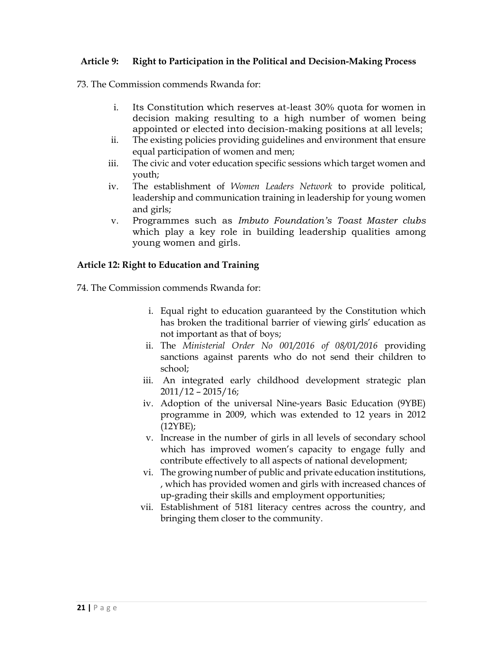#### **Article 9: Right to Participation in the Political and Decision-Making Process**

73. The Commission commends Rwanda for:

- i. Its Constitution which reserves at-least 30% quota for women in decision making resulting to a high number of women being appointed or elected into decision-making positions at all levels;
- ii. The existing policies providing guidelines and environment that ensure equal participation of women and men;
- iii. The civic and voter education specific sessions which target women and youth;
- iv. The establishment of *Women Leaders Network* to provide political, leadership and communication training in leadership for young women and girls;
- v. Programmes such as *Imbuto Foundation's Toast Master clubs* which play a key role in building leadership qualities among young women and girls.

#### **Article 12: Right to Education and Training**

74. The Commission commends Rwanda for:

- i. Equal right to education guaranteed by the Constitution which has broken the traditional barrier of viewing girls' education as not important as that of boys;
- ii. The *Ministerial Order No 001/2016 of 08/01/2016* providing sanctions against parents who do not send their children to school;
- iii. An integrated early childhood development strategic plan 2011/12 – 2015/16;
- iv. Adoption of the universal Nine-years Basic Education (9YBE) programme in 2009, which was extended to 12 years in 2012 (12YBE);
- v. Increase in the number of girls in all levels of secondary school which has improved women's capacity to engage fully and contribute effectively to all aspects of national development;
- vi. The growing number of public and private education institutions, , which has provided women and girls with increased chances of up-grading their skills and employment opportunities;
- vii. Establishment of 5181 literacy centres across the country, and bringing them closer to the community.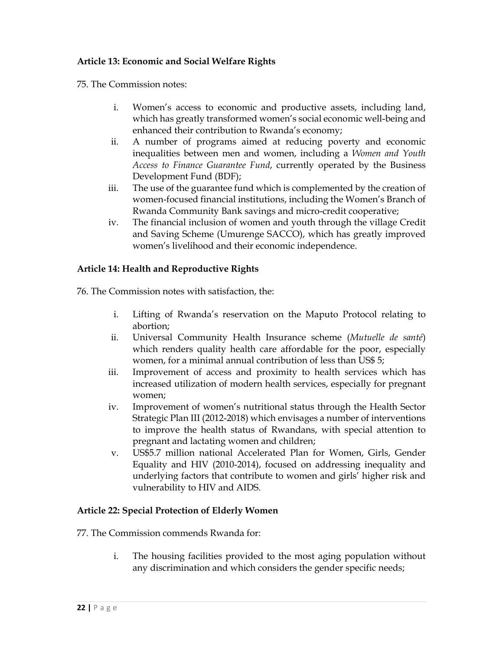## **Article 13: Economic and Social Welfare Rights**

75. The Commission notes:

- i. Women's access to economic and productive assets, including land, which has greatly transformed women's social economic well-being and enhanced their contribution to Rwanda's economy;
- ii. A number of programs aimed at reducing poverty and economic inequalities between men and women, including a *Women and Youth Access to Finance Guarantee Fund*, currently operated by the Business Development Fund (BDF);
- iii. The use of the guarantee fund which is complemented by the creation of women-focused financial institutions, including the Women's Branch of Rwanda Community Bank savings and micro-credit cooperative;
- iv. The financial inclusion of women and youth through the village Credit and Saving Scheme (Umurenge SACCO), which has greatly improved women's livelihood and their economic independence.

### **Article 14: Health and Reproductive Rights**

76. The Commission notes with satisfaction, the:

- i. Lifting of Rwanda's reservation on the Maputo Protocol relating to abortion;
- ii. Universal Community Health Insurance scheme (*Mutuelle de santé*) which renders quality health care affordable for the poor, especially women, for a minimal annual contribution of less than US\$ 5;
- iii. Improvement of access and proximity to health services which has increased utilization of modern health services, especially for pregnant women;
- iv. Improvement of women's nutritional status through the Health Sector Strategic Plan III (2012-2018) which envisages a number of interventions to improve the health status of Rwandans, with special attention to pregnant and lactating women and children;
- v. US\$5.7 million national Accelerated Plan for Women, Girls, Gender Equality and HIV (2010-2014), focused on addressing inequality and underlying factors that contribute to women and girls' higher risk and vulnerability to HIV and AIDS.

### **Article 22: Special Protection of Elderly Women**

77. The Commission commends Rwanda for:

i. The housing facilities provided to the most aging population without any discrimination and which considers the gender specific needs;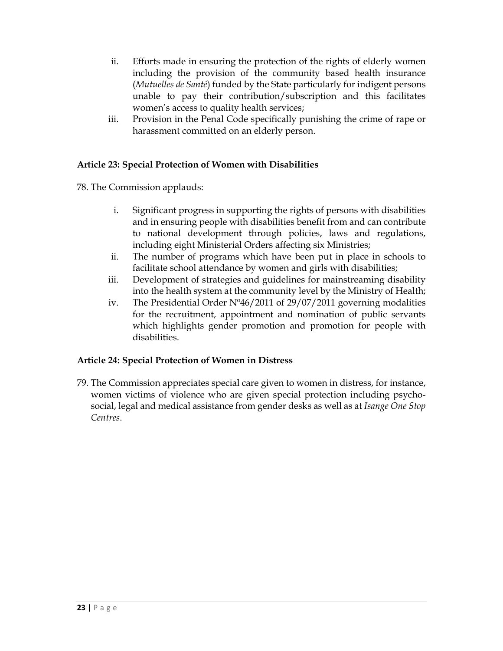- ii. Efforts made in ensuring the protection of the rights of elderly women including the provision of the community based health insurance (*Mutuelles de Santé*) funded by the State particularly for indigent persons unable to pay their contribution/subscription and this facilitates women's access to quality health services;
- iii. Provision in the Penal Code specifically punishing the crime of rape or harassment committed on an elderly person.

## **Article 23: Special Protection of Women with Disabilities**

78. The Commission applauds:

- i. Significant progress in supporting the rights of persons with disabilities and in ensuring people with disabilities benefit from and can contribute to national development through policies, laws and regulations, including eight Ministerial Orders affecting six Ministries;
- ii. The number of programs which have been put in place in schools to facilitate school attendance by women and girls with disabilities;
- iii. Development of strategies and guidelines for mainstreaming disability into the health system at the community level by the Ministry of Health;
- iv. The Presidential Order Nº46/2011 of 29/07/2011 governing modalities for the recruitment, appointment and nomination of public servants which highlights gender promotion and promotion for people with disabilities.

### **Article 24: Special Protection of Women in Distress**

79. The Commission appreciates special care given to women in distress, for instance, women victims of violence who are given special protection including psychosocial, legal and medical assistance from gender desks as well as at *Isange One Stop Centres*.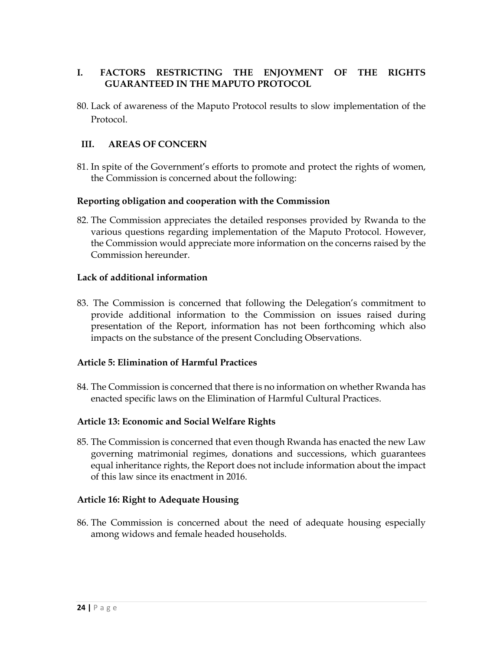## **I. FACTORS RESTRICTING THE ENJOYMENT OF THE RIGHTS GUARANTEED IN THE MAPUTO PROTOCOL**

80. Lack of awareness of the Maputo Protocol results to slow implementation of the Protocol.

## **III. AREAS OF CONCERN**

81. In spite of the Government's efforts to promote and protect the rights of women, the Commission is concerned about the following:

### **Reporting obligation and cooperation with the Commission**

82. The Commission appreciates the detailed responses provided by Rwanda to the various questions regarding implementation of the Maputo Protocol. However, the Commission would appreciate more information on the concerns raised by the Commission hereunder.

### **Lack of additional information**

83. The Commission is concerned that following the Delegation's commitment to provide additional information to the Commission on issues raised during presentation of the Report, information has not been forthcoming which also impacts on the substance of the present Concluding Observations.

### **Article 5: Elimination of Harmful Practices**

84. The Commission is concerned that there is no information on whether Rwanda has enacted specific laws on the Elimination of Harmful Cultural Practices.

### **Article 13: Economic and Social Welfare Rights**

85. The Commission is concerned that even though Rwanda has enacted the new Law governing matrimonial regimes, donations and successions, which guarantees equal inheritance rights, the Report does not include information about the impact of this law since its enactment in 2016.

### **Article 16: Right to Adequate Housing**

86. The Commission is concerned about the need of adequate housing especially among widows and female headed households.